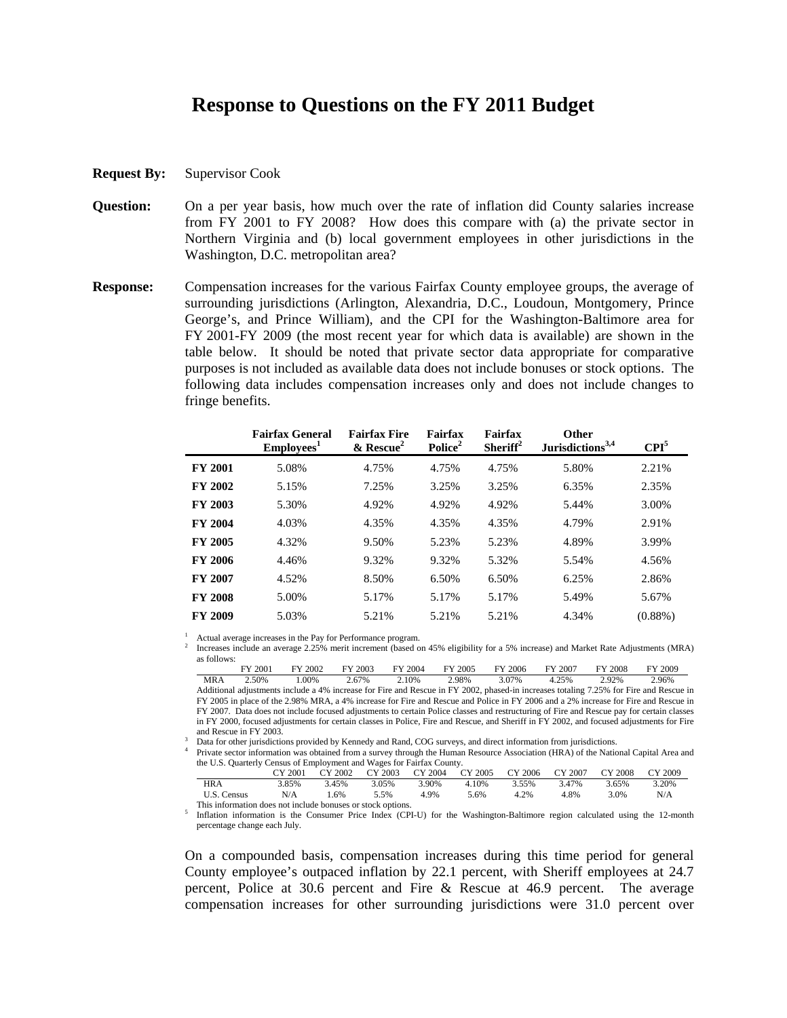## **Response to Questions on the FY 2011 Budget**

- **Request By:** Supervisor Cook
- **Question:** On a per year basis, how much over the rate of inflation did County salaries increase from FY 2001 to FY 2008? How does this compare with (a) the private sector in Northern Virginia and (b) local government employees in other jurisdictions in the Washington, D.C. metropolitan area?
- **Response:** Compensation increases for the various Fairfax County employee groups, the average of surrounding jurisdictions (Arlington, Alexandria, D.C., Loudoun, Montgomery, Prince George's, and Prince William), and the CPI for the Washington-Baltimore area for FY 2001-FY 2009 (the most recent year for which data is available) are shown in the table below. It should be noted that private sector data appropriate for comparative purposes is not included as available data does not include bonuses or stock options. The following data includes compensation increases only and does not include changes to fringe benefits.

|                | <b>Fairfax General</b><br>Employes <sup>1</sup> | <b>Fairfax Fire</b><br>$&$ Rescue <sup>2</sup> | Fairfax<br>Police <sup>2</sup> | Fairfax<br>Sheriff $2$ | Other<br>Jurisdictions <sup>3,4</sup> | $\mathbf{CPI}^5$ |
|----------------|-------------------------------------------------|------------------------------------------------|--------------------------------|------------------------|---------------------------------------|------------------|
| <b>FY 2001</b> | 5.08%                                           | 4.75%                                          | 4.75%                          | 4.75%                  | 5.80%                                 | 2.21%            |
| <b>FY 2002</b> | 5.15%                                           | 7.25%                                          | 3.25%                          | 3.25%                  | 6.35%                                 | 2.35%            |
| <b>FY 2003</b> | 5.30%                                           | 4.92%                                          | 4.92%                          | 4.92%                  | 5.44%                                 | 3.00%            |
| <b>FY 2004</b> | 4.03%                                           | 4.35%                                          | 4.35%                          | 4.35%                  | 4.79%                                 | 2.91%            |
| <b>FY 2005</b> | 4.32%                                           | 9.50%                                          | 5.23%                          | 5.23%                  | 4.89%                                 | 3.99%            |
| <b>FY 2006</b> | 4.46%                                           | 9.32%                                          | 9.32%                          | 5.32%                  | 5.54%                                 | 4.56%            |
| <b>FY 2007</b> | 4.52%                                           | 8.50%                                          | 6.50%                          | 6.50%                  | 6.25%                                 | 2.86%            |
| <b>FY 2008</b> | 5.00%                                           | 5.17%                                          | 5.17%                          | 5.17%                  | 5.49%                                 | 5.67%            |
| <b>FY 2009</b> | 5.03%                                           | 5.21%                                          | 5.21%                          | 5.21%                  | 4.34%                                 | $(0.88\%)$       |

<sup>1</sup> Actual average increases in the Pay for Performance program.

2 Increases include an average 2.25% merit increment (based on 45% eligibility for a 5% increase) and Market Rate Adjustments (MRA) as follows:

|            | 2001<br>ПV | FY 2002 | FY 2003 | FY 2004  | FY 2005   | FY 2006 | FY 2007 | FY 2008  | FY 2009 |
|------------|------------|---------|---------|----------|-----------|---------|---------|----------|---------|
| <b>MRA</b> | $2.50\%$   | 00%     | 2.67%   | $2.10\%$ | 2.98%     | 3.07%   | 4.25%   | 2.92%    | 2.96%   |
| .          |            | .       | $-$     | $-$      | _________ |         | .       | ________ | $-$     |

Additional adjustments include a 4% increase for Fire and Rescue in FY 2002, phased-in increases totaling 7.25% for Fire and Rescue in FY 2005 in place of the 2.98% MRA, a 4% increase for Fire and Rescue and Police in FY 2006 and a 2% increase for Fire and Rescue in FY 2007. Data does not include focused adjustments to certain Police classes and restructuring of Fire and Rescue pay for certain classes in FY 2000, focused adjustments for certain classes in Police, Fire and Rescue, and Sheriff in FY 2002, and focused adjustments for Fire and Rescue in FY 2003.<br> $3 \text{Det}$  for other invisibility

<sup>3</sup> Data for other jurisdictions provided by Kennedy and Rand, COG surveys, and direct information from jurisdictions.<br><sup>4</sup> Private sector information was obtained from a syrvay through the Hyman Resource Association (HRA)

 Private sector information was obtained from a survey through the Human Resource Association (HRA) of the National Capital Area and the U.S. Quarterly Census of Employment and Wages for Fairfax County.

|                                                             | CY 2001 |       |       |       |             | CY 2002 CY 2003 CY 2004 CY 2005 CY 2006 CY 2007 CY 2008 CY 2009 |             |      |       |
|-------------------------------------------------------------|---------|-------|-------|-------|-------------|-----------------------------------------------------------------|-------------|------|-------|
| <b>HRA</b>                                                  | 3.85%   | 3.45% | 3.05% | 3.90% | 4.10% 3.55% |                                                                 | 3.47% 3.65% |      | 3.20% |
| U.S. Census                                                 | N/A     | 1.6%  | 5.5%  | 4.9%  | 5.6%        | 4.2%                                                            | 4.8%        | 3.0% | N/A   |
| This information does not include bonuses or stock options. |         |       |       |       |             |                                                                 |             |      |       |

This information does not include bonuses or stock options.<br><sup>5</sup> Inflation information is the Consumer Price Index (CPI-U) for the Washington-Baltimore region calculated using the 12-month percentage change each July.

 On a compounded basis, compensation increases during this time period for general County employee's outpaced inflation by 22.1 percent, with Sheriff employees at 24.7 percent, Police at 30.6 percent and Fire & Rescue at 46.9 percent. The average compensation increases for other surrounding jurisdictions were 31.0 percent over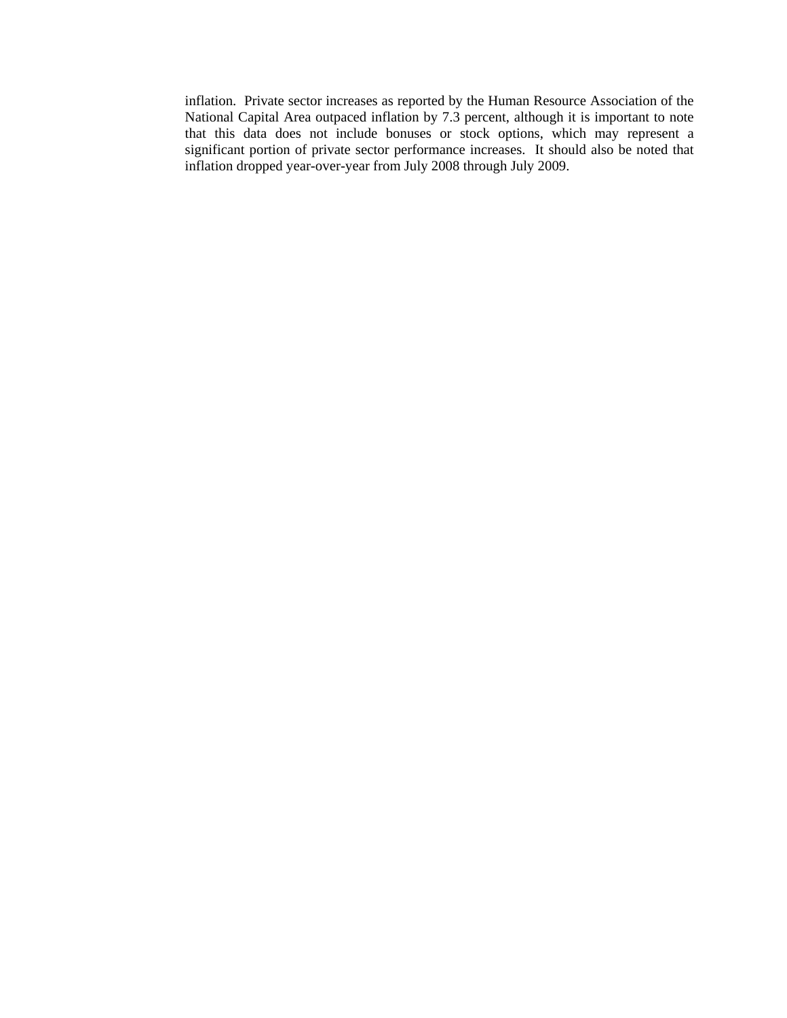inflation. Private sector increases as reported by the Human Resource Association of the National Capital Area outpaced inflation by 7.3 percent, although it is important to note that this data does not include bonuses or stock options, which may represent a significant portion of private sector performance increases. It should also be noted that inflation dropped year-over-year from July 2008 through July 2009.